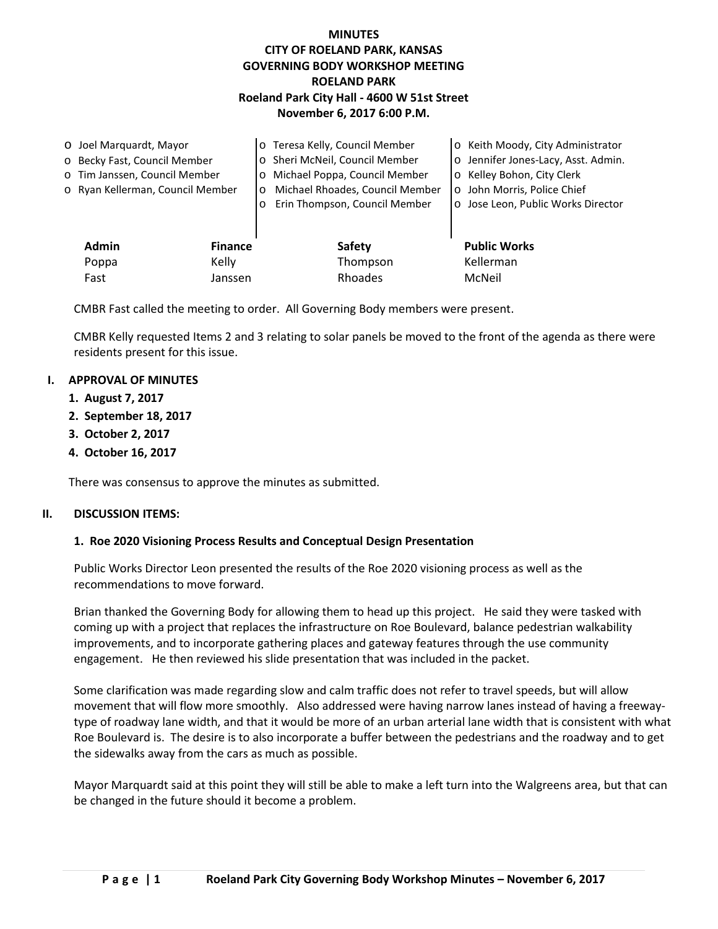## **MINUTES CITY OF ROELAND PARK, KANSAS GOVERNING BODY WORKSHOP MEETING ROELAND PARK Roeland Park City Hall - 4600 W 51st Street November 6, 2017 6:00 P.M.**

| O Joel Marquardt, Mayor      |                                  |                | o Teresa Kelly, Council Member             | o Keith Moody, City Administrator   |
|------------------------------|----------------------------------|----------------|--------------------------------------------|-------------------------------------|
| o Becky Fast, Council Member |                                  |                | o Sheri McNeil, Council Member             | o Jennifer Jones-Lacy, Asst. Admin. |
|                              | o Tim Janssen, Council Member    |                | o Michael Poppa, Council Member            | o Kelley Bohon, City Clerk          |
|                              | o Ryan Kellerman, Council Member |                | Michael Rhoades, Council Member<br>$\circ$ | o John Morris, Police Chief         |
|                              |                                  |                | Erin Thompson, Council Member<br>$\circ$   | o Jose Leon, Public Works Director  |
|                              |                                  |                |                                            |                                     |
|                              | <b>Admin</b>                     | <b>Finance</b> | Safety                                     | <b>Public Works</b>                 |
|                              | Poppa                            | Kelly          | Thompson                                   | Kellerman                           |
|                              | Fast                             | Janssen        | Rhoades                                    | McNeil                              |

CMBR Fast called the meeting to order. All Governing Body members were present.

CMBR Kelly requested Items 2 and 3 relating to solar panels be moved to the front of the agenda as there were residents present for this issue.

#### **I. APPROVAL OF MINUTES**

- **1. August 7, 2017**
- **2. September 18, 2017**
- **3. October 2, 2017**
- **4. October 16, 2017**

There was consensus to approve the minutes as submitted.

#### **II. DISCUSSION ITEMS:**

#### **1. Roe 2020 Visioning Process Results and Conceptual Design Presentation**

Public Works Director Leon presented the results of the Roe 2020 visioning process as well as the recommendations to move forward.

Brian thanked the Governing Body for allowing them to head up this project. He said they were tasked with coming up with a project that replaces the infrastructure on Roe Boulevard, balance pedestrian walkability improvements, and to incorporate gathering places and gateway features through the use community engagement. He then reviewed his slide presentation that was included in the packet.

Some clarification was made regarding slow and calm traffic does not refer to travel speeds, but will allow movement that will flow more smoothly. Also addressed were having narrow lanes instead of having a freewaytype of roadway lane width, and that it would be more of an urban arterial lane width that is consistent with what Roe Boulevard is. The desire is to also incorporate a buffer between the pedestrians and the roadway and to get the sidewalks away from the cars as much as possible.

Mayor Marquardt said at this point they will still be able to make a left turn into the Walgreens area, but that can be changed in the future should it become a problem.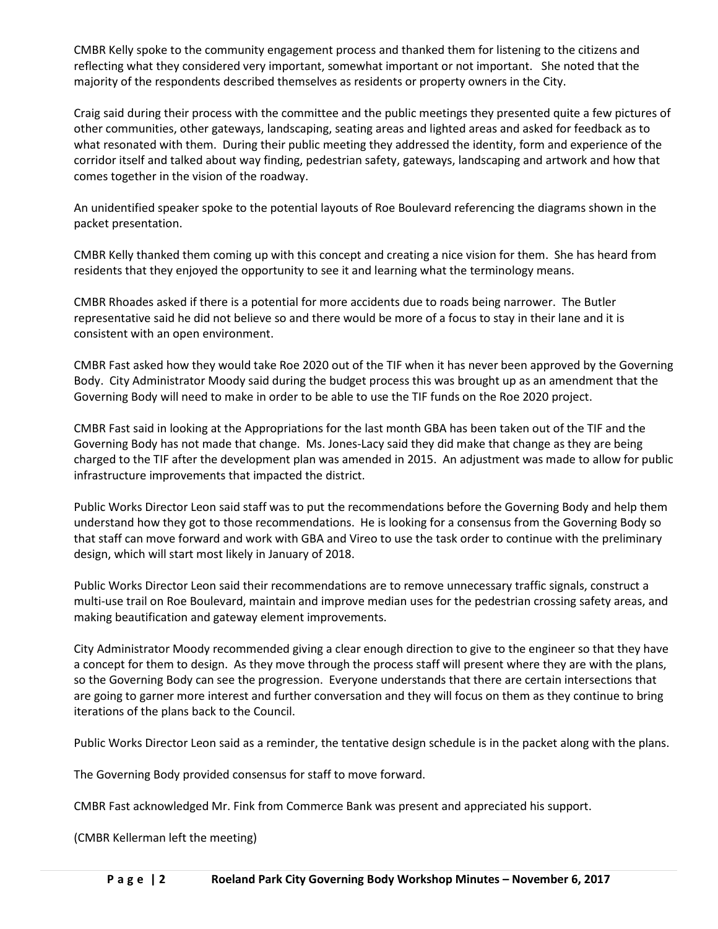CMBR Kelly spoke to the community engagement process and thanked them for listening to the citizens and reflecting what they considered very important, somewhat important or not important. She noted that the majority of the respondents described themselves as residents or property owners in the City.

Craig said during their process with the committee and the public meetings they presented quite a few pictures of other communities, other gateways, landscaping, seating areas and lighted areas and asked for feedback as to what resonated with them. During their public meeting they addressed the identity, form and experience of the corridor itself and talked about way finding, pedestrian safety, gateways, landscaping and artwork and how that comes together in the vision of the roadway.

An unidentified speaker spoke to the potential layouts of Roe Boulevard referencing the diagrams shown in the packet presentation.

CMBR Kelly thanked them coming up with this concept and creating a nice vision for them. She has heard from residents that they enjoyed the opportunity to see it and learning what the terminology means.

CMBR Rhoades asked if there is a potential for more accidents due to roads being narrower. The Butler representative said he did not believe so and there would be more of a focus to stay in their lane and it is consistent with an open environment.

CMBR Fast asked how they would take Roe 2020 out of the TIF when it has never been approved by the Governing Body. City Administrator Moody said during the budget process this was brought up as an amendment that the Governing Body will need to make in order to be able to use the TIF funds on the Roe 2020 project.

CMBR Fast said in looking at the Appropriations for the last month GBA has been taken out of the TIF and the Governing Body has not made that change. Ms. Jones-Lacy said they did make that change as they are being charged to the TIF after the development plan was amended in 2015. An adjustment was made to allow for public infrastructure improvements that impacted the district.

Public Works Director Leon said staff was to put the recommendations before the Governing Body and help them understand how they got to those recommendations. He is looking for a consensus from the Governing Body so that staff can move forward and work with GBA and Vireo to use the task order to continue with the preliminary design, which will start most likely in January of 2018.

Public Works Director Leon said their recommendations are to remove unnecessary traffic signals, construct a multi-use trail on Roe Boulevard, maintain and improve median uses for the pedestrian crossing safety areas, and making beautification and gateway element improvements.

City Administrator Moody recommended giving a clear enough direction to give to the engineer so that they have a concept for them to design. As they move through the process staff will present where they are with the plans, so the Governing Body can see the progression. Everyone understands that there are certain intersections that are going to garner more interest and further conversation and they will focus on them as they continue to bring iterations of the plans back to the Council.

Public Works Director Leon said as a reminder, the tentative design schedule is in the packet along with the plans.

The Governing Body provided consensus for staff to move forward.

CMBR Fast acknowledged Mr. Fink from Commerce Bank was present and appreciated his support.

(CMBR Kellerman left the meeting)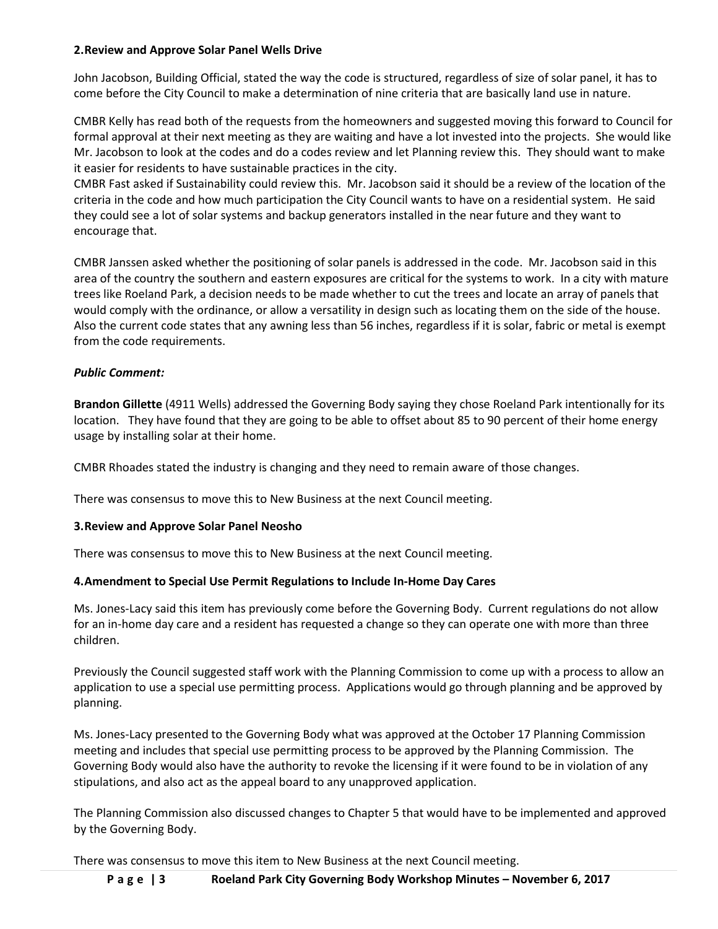### **2.Review and Approve Solar Panel Wells Drive**

John Jacobson, Building Official, stated the way the code is structured, regardless of size of solar panel, it has to come before the City Council to make a determination of nine criteria that are basically land use in nature.

CMBR Kelly has read both of the requests from the homeowners and suggested moving this forward to Council for formal approval at their next meeting as they are waiting and have a lot invested into the projects. She would like Mr. Jacobson to look at the codes and do a codes review and let Planning review this. They should want to make it easier for residents to have sustainable practices in the city.

CMBR Fast asked if Sustainability could review this. Mr. Jacobson said it should be a review of the location of the criteria in the code and how much participation the City Council wants to have on a residential system. He said they could see a lot of solar systems and backup generators installed in the near future and they want to encourage that.

CMBR Janssen asked whether the positioning of solar panels is addressed in the code. Mr. Jacobson said in this area of the country the southern and eastern exposures are critical for the systems to work. In a city with mature trees like Roeland Park, a decision needs to be made whether to cut the trees and locate an array of panels that would comply with the ordinance, or allow a versatility in design such as locating them on the side of the house. Also the current code states that any awning less than 56 inches, regardless if it is solar, fabric or metal is exempt from the code requirements.

### *Public Comment:*

**Brandon Gillette** (4911 Wells) addressed the Governing Body saying they chose Roeland Park intentionally for its location. They have found that they are going to be able to offset about 85 to 90 percent of their home energy usage by installing solar at their home.

CMBR Rhoades stated the industry is changing and they need to remain aware of those changes.

There was consensus to move this to New Business at the next Council meeting.

#### **3.Review and Approve Solar Panel Neosho**

There was consensus to move this to New Business at the next Council meeting.

#### **4.Amendment to Special Use Permit Regulations to Include In-Home Day Cares**

Ms. Jones-Lacy said this item has previously come before the Governing Body. Current regulations do not allow for an in-home day care and a resident has requested a change so they can operate one with more than three children.

Previously the Council suggested staff work with the Planning Commission to come up with a process to allow an application to use a special use permitting process. Applications would go through planning and be approved by planning.

Ms. Jones-Lacy presented to the Governing Body what was approved at the October 17 Planning Commission meeting and includes that special use permitting process to be approved by the Planning Commission. The Governing Body would also have the authority to revoke the licensing if it were found to be in violation of any stipulations, and also act as the appeal board to any unapproved application.

The Planning Commission also discussed changes to Chapter 5 that would have to be implemented and approved by the Governing Body.

There was consensus to move this item to New Business at the next Council meeting.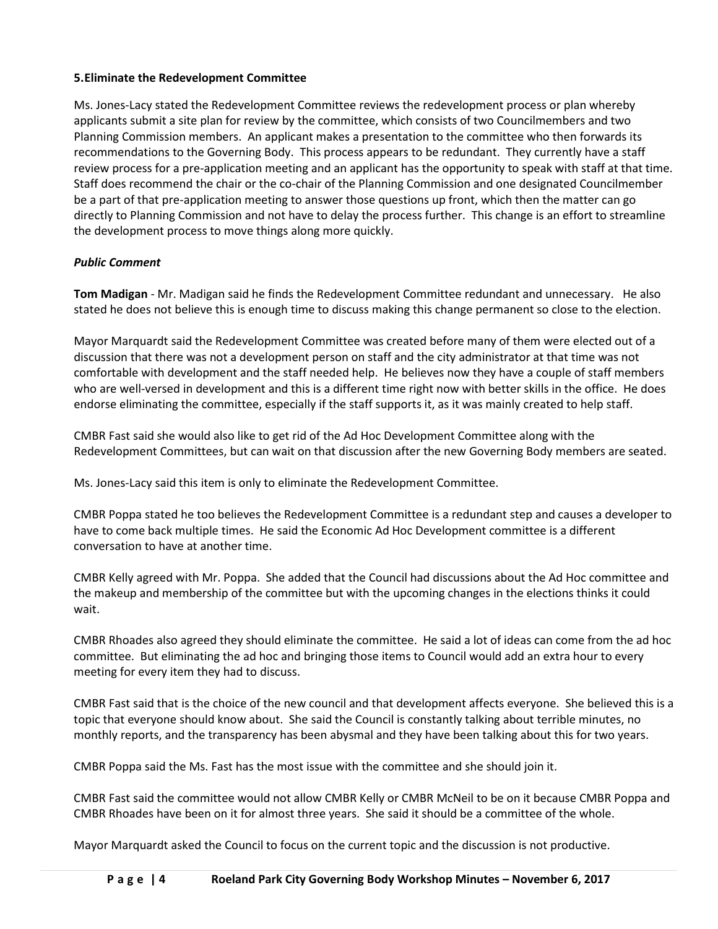## **5.Eliminate the Redevelopment Committee**

Ms. Jones-Lacy stated the Redevelopment Committee reviews the redevelopment process or plan whereby applicants submit a site plan for review by the committee, which consists of two Councilmembers and two Planning Commission members. An applicant makes a presentation to the committee who then forwards its recommendations to the Governing Body. This process appears to be redundant. They currently have a staff review process for a pre-application meeting and an applicant has the opportunity to speak with staff at that time. Staff does recommend the chair or the co-chair of the Planning Commission and one designated Councilmember be a part of that pre-application meeting to answer those questions up front, which then the matter can go directly to Planning Commission and not have to delay the process further. This change is an effort to streamline the development process to move things along more quickly.

# *Public Comment*

**Tom Madigan** - Mr. Madigan said he finds the Redevelopment Committee redundant and unnecessary. He also stated he does not believe this is enough time to discuss making this change permanent so close to the election.

Mayor Marquardt said the Redevelopment Committee was created before many of them were elected out of a discussion that there was not a development person on staff and the city administrator at that time was not comfortable with development and the staff needed help. He believes now they have a couple of staff members who are well-versed in development and this is a different time right now with better skills in the office. He does endorse eliminating the committee, especially if the staff supports it, as it was mainly created to help staff.

CMBR Fast said she would also like to get rid of the Ad Hoc Development Committee along with the Redevelopment Committees, but can wait on that discussion after the new Governing Body members are seated.

Ms. Jones-Lacy said this item is only to eliminate the Redevelopment Committee.

CMBR Poppa stated he too believes the Redevelopment Committee is a redundant step and causes a developer to have to come back multiple times. He said the Economic Ad Hoc Development committee is a different conversation to have at another time.

CMBR Kelly agreed with Mr. Poppa. She added that the Council had discussions about the Ad Hoc committee and the makeup and membership of the committee but with the upcoming changes in the elections thinks it could wait.

CMBR Rhoades also agreed they should eliminate the committee. He said a lot of ideas can come from the ad hoc committee. But eliminating the ad hoc and bringing those items to Council would add an extra hour to every meeting for every item they had to discuss.

CMBR Fast said that is the choice of the new council and that development affects everyone. She believed this is a topic that everyone should know about. She said the Council is constantly talking about terrible minutes, no monthly reports, and the transparency has been abysmal and they have been talking about this for two years.

CMBR Poppa said the Ms. Fast has the most issue with the committee and she should join it.

CMBR Fast said the committee would not allow CMBR Kelly or CMBR McNeil to be on it because CMBR Poppa and CMBR Rhoades have been on it for almost three years. She said it should be a committee of the whole.

Mayor Marquardt asked the Council to focus on the current topic and the discussion is not productive.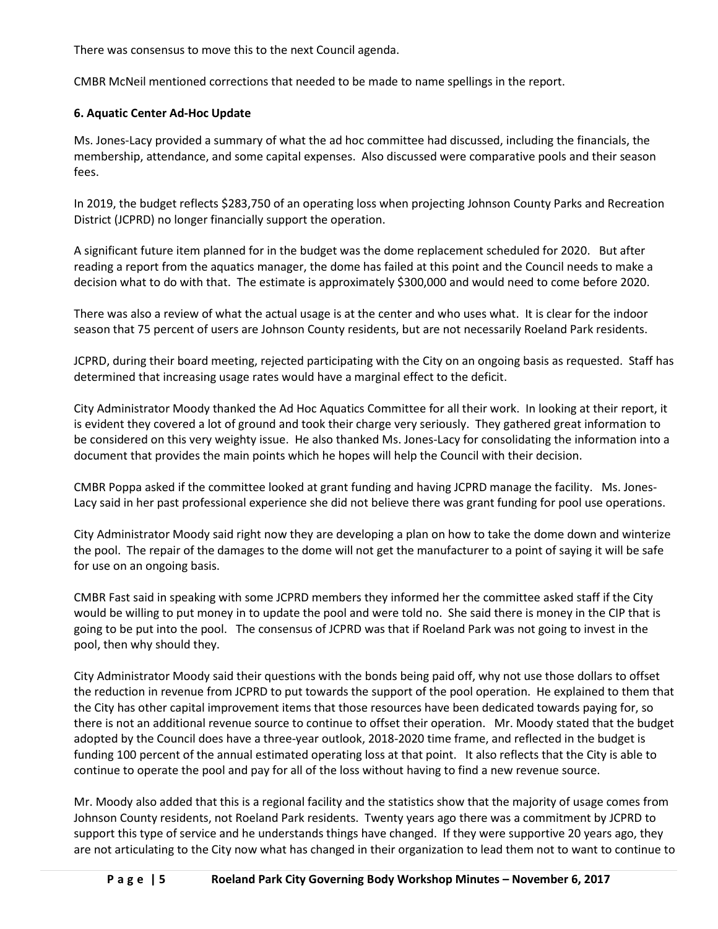There was consensus to move this to the next Council agenda.

CMBR McNeil mentioned corrections that needed to be made to name spellings in the report.

### **6. Aquatic Center Ad-Hoc Update**

Ms. Jones-Lacy provided a summary of what the ad hoc committee had discussed, including the financials, the membership, attendance, and some capital expenses. Also discussed were comparative pools and their season fees.

In 2019, the budget reflects \$283,750 of an operating loss when projecting Johnson County Parks and Recreation District (JCPRD) no longer financially support the operation.

A significant future item planned for in the budget was the dome replacement scheduled for 2020. But after reading a report from the aquatics manager, the dome has failed at this point and the Council needs to make a decision what to do with that. The estimate is approximately \$300,000 and would need to come before 2020.

There was also a review of what the actual usage is at the center and who uses what. It is clear for the indoor season that 75 percent of users are Johnson County residents, but are not necessarily Roeland Park residents.

JCPRD, during their board meeting, rejected participating with the City on an ongoing basis as requested. Staff has determined that increasing usage rates would have a marginal effect to the deficit.

City Administrator Moody thanked the Ad Hoc Aquatics Committee for all their work. In looking at their report, it is evident they covered a lot of ground and took their charge very seriously. They gathered great information to be considered on this very weighty issue. He also thanked Ms. Jones-Lacy for consolidating the information into a document that provides the main points which he hopes will help the Council with their decision.

CMBR Poppa asked if the committee looked at grant funding and having JCPRD manage the facility. Ms. Jones-Lacy said in her past professional experience she did not believe there was grant funding for pool use operations.

City Administrator Moody said right now they are developing a plan on how to take the dome down and winterize the pool. The repair of the damages to the dome will not get the manufacturer to a point of saying it will be safe for use on an ongoing basis.

CMBR Fast said in speaking with some JCPRD members they informed her the committee asked staff if the City would be willing to put money in to update the pool and were told no. She said there is money in the CIP that is going to be put into the pool. The consensus of JCPRD was that if Roeland Park was not going to invest in the pool, then why should they.

City Administrator Moody said their questions with the bonds being paid off, why not use those dollars to offset the reduction in revenue from JCPRD to put towards the support of the pool operation. He explained to them that the City has other capital improvement items that those resources have been dedicated towards paying for, so there is not an additional revenue source to continue to offset their operation. Mr. Moody stated that the budget adopted by the Council does have a three-year outlook, 2018-2020 time frame, and reflected in the budget is funding 100 percent of the annual estimated operating loss at that point. It also reflects that the City is able to continue to operate the pool and pay for all of the loss without having to find a new revenue source.

Mr. Moody also added that this is a regional facility and the statistics show that the majority of usage comes from Johnson County residents, not Roeland Park residents. Twenty years ago there was a commitment by JCPRD to support this type of service and he understands things have changed. If they were supportive 20 years ago, they are not articulating to the City now what has changed in their organization to lead them not to want to continue to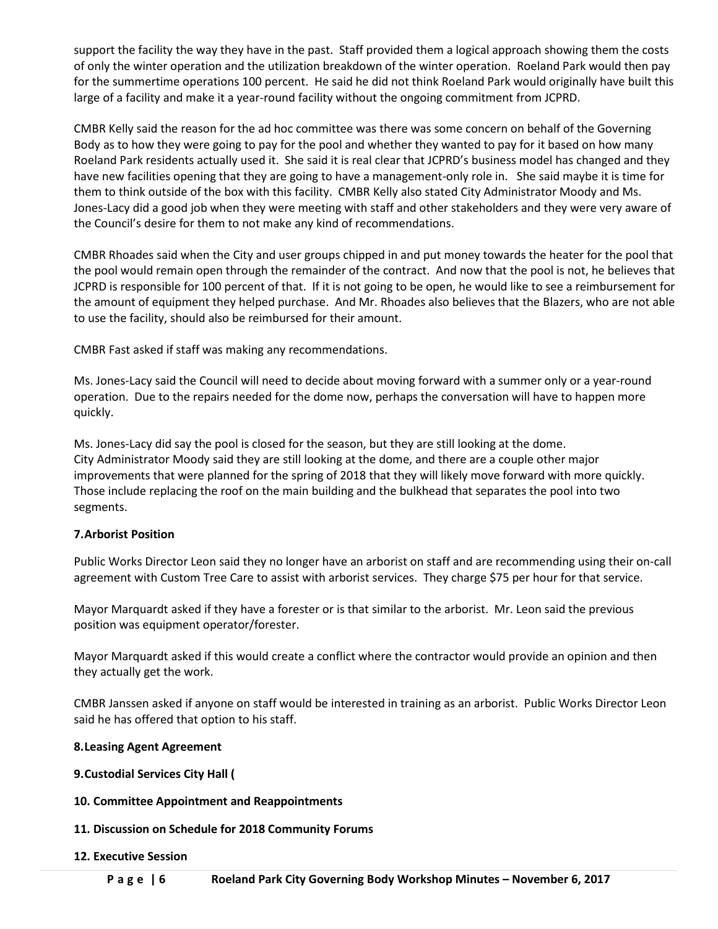support the facility the way they have in the past. Staff provided them a logical approach showing them the costs of only the winter operation and the utilization breakdown of the winter operation. Roeland Park would then pay for the summertime operations 100 percent. He said he did not think Roeland Park would originally have built this large of a facility and make it a year-round facility without the ongoing commitment from JCPRD.

CMBR Kelly said the reason for the ad hoc committee was there was some concern on behalf of the Governing Body as to how they were going to pay for the pool and whether they wanted to pay for it based on how many Roeland Park residents actually used it. She said it is real clear that JCPRD's business model has changed and they have new facilities opening that they are going to have a management-only role in. She said maybe it is time for them to think outside of the box with this facility. CMBR Kelly also stated City Administrator Moody and Ms. Jones-Lacy did a good job when they were meeting with staff and other stakeholders and they were very aware of the Council's desire for them to not make any kind of recommendations.

CMBR Rhoades said when the City and user groups chipped in and put money towards the heater for the pool that the pool would remain open through the remainder of the contract. And now that the pool is not, he believes that JCPRD is responsible for 100 percent of that. If it is not going to be open, he would like to see a reimbursement for the amount of equipment they helped purchase. And Mr. Rhoades also believes that the Blazers, who are not able to use the facility, should also be reimbursed for their amount.

CMBR Fast asked if staff was making any recommendations.

Ms. Jones-Lacy said the Council will need to decide about moving forward with a summer only or a year-round operation. Due to the repairs needed for the dome now, perhaps the conversation will have to happen more quickly.

Ms. Jones-Lacy did say the pool is closed for the season, but they are still looking at the dome. City Administrator Moody said they are still looking at the dome, and there are a couple other major improvements that were planned for the spring of 2018 that they will likely move forward with more quickly. Those include replacing the roof on the main building and the bulkhead that separates the pool into two segments.

## **7.Arborist Position**

Public Works Director Leon said they no longer have an arborist on staff and are recommending using their on-call agreement with Custom Tree Care to assist with arborist services. They charge \$75 per hour for that service.

Mayor Marquardt asked if they have a forester or is that similar to the arborist. Mr. Leon said the previous position was equipment operator/forester.

Mayor Marquardt asked if this would create a conflict where the contractor would provide an opinion and then they actually get the work.

CMBR Janssen asked if anyone on staff would be interested in training as an arborist. Public Works Director Leon said he has offered that option to his staff.

## **8.Leasing Agent Agreement**

- **9.Custodial Services City Hall (**
- **10. Committee Appointment and Reappointments**
- **11. Discussion on Schedule for 2018 Community Forums**

## **12. Executive Session**